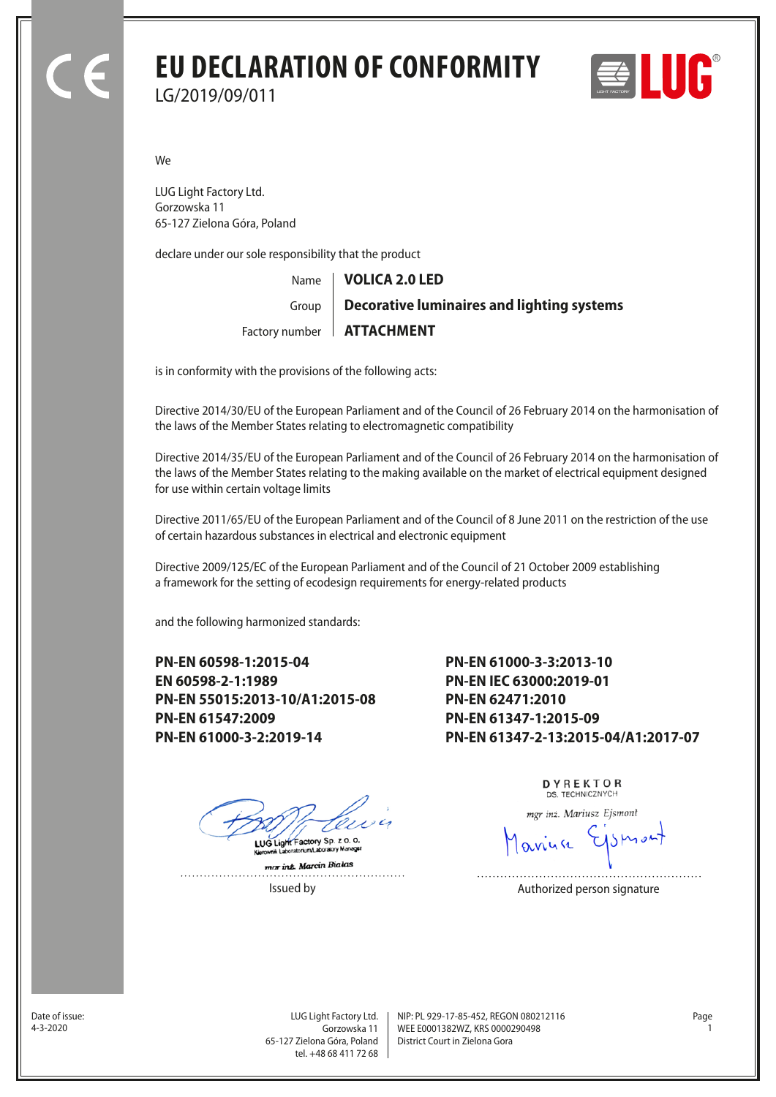### **EU DECLARATION OF CONFORMITY**

LG/2019/09/011

E III I I I

We

LUG Light Factory Ltd. Gorzowska 11 65-127 Zielona Góra, Poland

declare under our sole responsibility that the product

Name Factory number | **ATTACHMENT** Group **VOLICA 2.0 LED Decorative luminaires and lighting systems**

is in conformity with the provisions of the following acts:

Directive 2014/30/EU of the European Parliament and of the Council of 26 February 2014 on the harmonisation of the laws of the Member States relating to electromagnetic compatibility

Directive 2014/35/EU of the European Parliament and of the Council of 26 February 2014 on the harmonisation of the laws of the Member States relating to the making available on the market of electrical equipment designed for use within certain voltage limits

Directive 2011/65/EU of the European Parliament and of the Council of 8 June 2011 on the restriction of the use of certain hazardous substances in electrical and electronic equipment

Directive 2009/125/EC of the European Parliament and of the Council of 21 October 2009 establishing a framework for the setting of ecodesign requirements for energy-related products

and the following harmonized standards:

**PN-EN 60598-1:2015-04 EN 60598-2-1:1989 PN-EN 55015:2013-10/A1:2015-08 PN-EN 61547:2009 PN-EN 61000-3-2:2019-14**

**PN-EN 61000-3-3:2013-10 PN-EN IEC 63000:2019-01 PN-EN 62471:2010 PN-EN 61347-1:2015-09 PN-EN 61347-2-13:2015-04/A1:2017-07**

LUG Light Factory Sp. z o. o.

mar int. Marcin Bialas  DYREKTOR DS. TECHNICZNYCH

mgr inż. Mariusz Ejsmont

Issued by **Authorized person signature** 

Date of issue:<br>4-3-2020

Gorzowska 11 65-127 Zielona Góra, Poland tel. +48 68 411 72 68

LUG Light Factory Ltd. Page NIP: PL 929-17-85-452, REGON 080212116 WEE E0001382WZ, KRS 0000290498 4-3-2020 1 District Court in Zielona Gora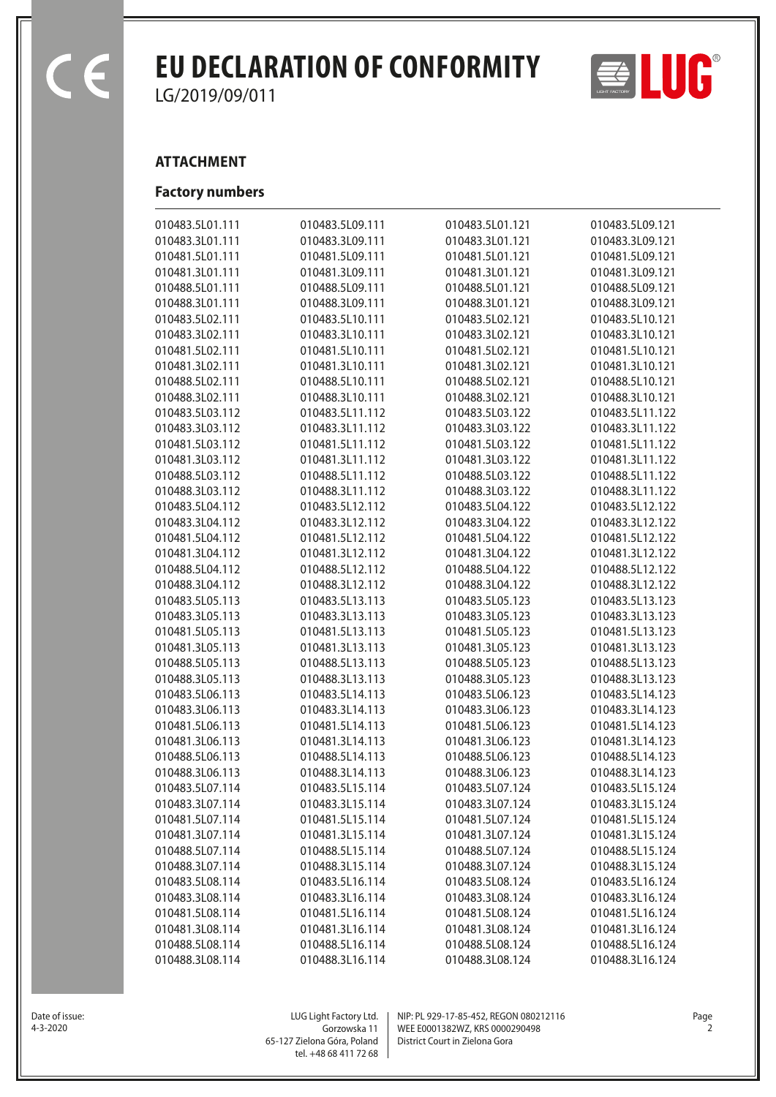$\epsilon$ 

## **EU DECLARATION OF CONFORMITY**  $\Rightarrow$   $\bullet$

LG/2019/09/011

#### **ATTACHMENT**

#### **Factory numbers**

| 010483.5L01.111 | 010483.5L09.111 | 010483.5L01.121 | 010483.5L09.121 |
|-----------------|-----------------|-----------------|-----------------|
| 010483.3L01.111 | 010483.3L09.111 | 010483.3L01.121 | 010483.3L09.121 |
| 010481.5L01.111 | 010481.5L09.111 | 010481.5L01.121 | 010481.5L09.121 |
| 010481.3L01.111 | 010481.3L09.111 | 010481.3L01.121 | 010481.3L09.121 |
| 010488.5L01.111 | 010488.5L09.111 | 010488.5L01.121 | 010488.5L09.121 |
| 010488.3L01.111 | 010488.3L09.111 | 010488.3L01.121 | 010488.3L09.121 |
| 010483.5L02.111 | 010483.5L10.111 | 010483.5L02.121 | 010483.5L10.121 |
| 010483.3L02.111 | 010483.3L10.111 | 010483.3L02.121 | 010483.3L10.121 |
| 010481.5L02.111 | 010481.5L10.111 | 010481.5L02.121 | 010481.5L10.121 |
| 010481.3L02.111 | 010481.3L10.111 | 010481.3L02.121 | 010481.3L10.121 |
| 010488.5L02.111 | 010488.5L10.111 | 010488.5L02.121 | 010488.5L10.121 |
| 010488.3L02.111 | 010488.3L10.111 | 010488.3L02.121 | 010488.3L10.121 |
| 010483.5L03.112 | 010483.5L11.112 | 010483.5L03.122 | 010483.5L11.122 |
| 010483.3L03.112 | 010483.3L11.112 | 010483.3L03.122 | 010483.3L11.122 |
| 010481.5L03.112 | 010481.5L11.112 | 010481.5L03.122 | 010481.5L11.122 |
| 010481.3L03.112 | 010481.3L11.112 | 010481.3L03.122 | 010481.3L11.122 |
| 010488.5L03.112 | 010488.5L11.112 | 010488.5L03.122 | 010488.5L11.122 |
|                 |                 |                 |                 |
| 010488.3L03.112 | 010488.3L11.112 | 010488.3L03.122 | 010488.3L11.122 |
| 010483.5L04.112 | 010483.5L12.112 | 010483.5L04.122 | 010483.5L12.122 |
| 010483.3L04.112 | 010483.3L12.112 | 010483.3L04.122 | 010483.3L12.122 |
| 010481.5L04.112 | 010481.5L12.112 | 010481.5L04.122 | 010481.5L12.122 |
| 010481.3L04.112 | 010481.3L12.112 | 010481.3L04.122 | 010481.3L12.122 |
| 010488.5L04.112 | 010488.5L12.112 | 010488.5L04.122 | 010488.5L12.122 |
| 010488.3L04.112 | 010488.3L12.112 | 010488.3L04.122 | 010488.3L12.122 |
| 010483.5L05.113 | 010483.5L13.113 | 010483.5L05.123 | 010483.5L13.123 |
| 010483.3L05.113 | 010483.3L13.113 | 010483.3L05.123 | 010483.3L13.123 |
| 010481.5L05.113 | 010481.5L13.113 | 010481.5L05.123 | 010481.5L13.123 |
| 010481.3L05.113 | 010481.3L13.113 | 010481.3L05.123 | 010481.3L13.123 |
| 010488.5L05.113 | 010488.5L13.113 | 010488.5L05.123 | 010488.5L13.123 |
| 010488.3L05.113 | 010488.3L13.113 | 010488.3L05.123 | 010488.3L13.123 |
| 010483.5L06.113 | 010483.5L14.113 | 010483.5L06.123 | 010483.5L14.123 |
| 010483.3L06.113 | 010483.3L14.113 | 010483.3L06.123 | 010483.3L14.123 |
| 010481.5L06.113 | 010481.5L14.113 | 010481.5L06.123 | 010481.5L14.123 |
| 010481.3L06.113 | 010481.3L14.113 | 010481.3L06.123 | 010481.3L14.123 |
| 010488.5L06.113 | 010488.5L14.113 | 010488.5L06.123 | 010488.5L14.123 |
| 010488.3L06.113 | 010488.3L14.113 | 010488.3L06.123 | 010488.3L14.123 |
| 010483.5L07.114 | 010483.5L15.114 | 010483.5L07.124 | 010483.5L15.124 |
| 010483.3L07.114 | 010483.3L15.114 | 010483.3L07.124 | 010483.3L15.124 |
| 010481.5L07.114 | 010481.5L15.114 | 010481.5L07.124 | 010481.5L15.124 |
| 010481.3L07.114 | 010481.3L15.114 | 010481.3L07.124 | 010481.3L15.124 |
| 010488.5L07.114 | 010488.5L15.114 | 010488.5L07.124 | 010488.5L15.124 |
| 010488.3L07.114 | 010488.3L15.114 | 010488.3L07.124 | 010488.3L15.124 |
| 010483.5L08.114 | 010483.5L16.114 | 010483.5L08.124 | 010483.5L16.124 |
| 010483.3L08.114 | 010483.3L16.114 | 010483.3L08.124 | 010483.3L16.124 |
| 010481.5L08.114 | 010481.5L16.114 | 010481.5L08.124 | 010481.5L16.124 |
| 010481.3L08.114 | 010481.3L16.114 | 010481.3L08.124 | 010481.3L16.124 |
| 010488.5L08.114 | 010488.5L16.114 | 010488.5L08.124 | 010488.5L16.124 |
| 010488.3L08.114 | 010488.3L16.114 | 010488.3L08.124 | 010488.3L16.124 |
|                 |                 |                 |                 |



Date of issue:<br>4-3-2020

Gorzowska 11 65-127 Zielona Góra, Poland tel. +48 68 411 72 68

LUG Light Factory Ltd. Page NIP: PL 929-17-85-452, REGON 080212116 WEE E0001382WZ, KRS 0000290498 4-3-2020 2 District Court in Zielona Gora